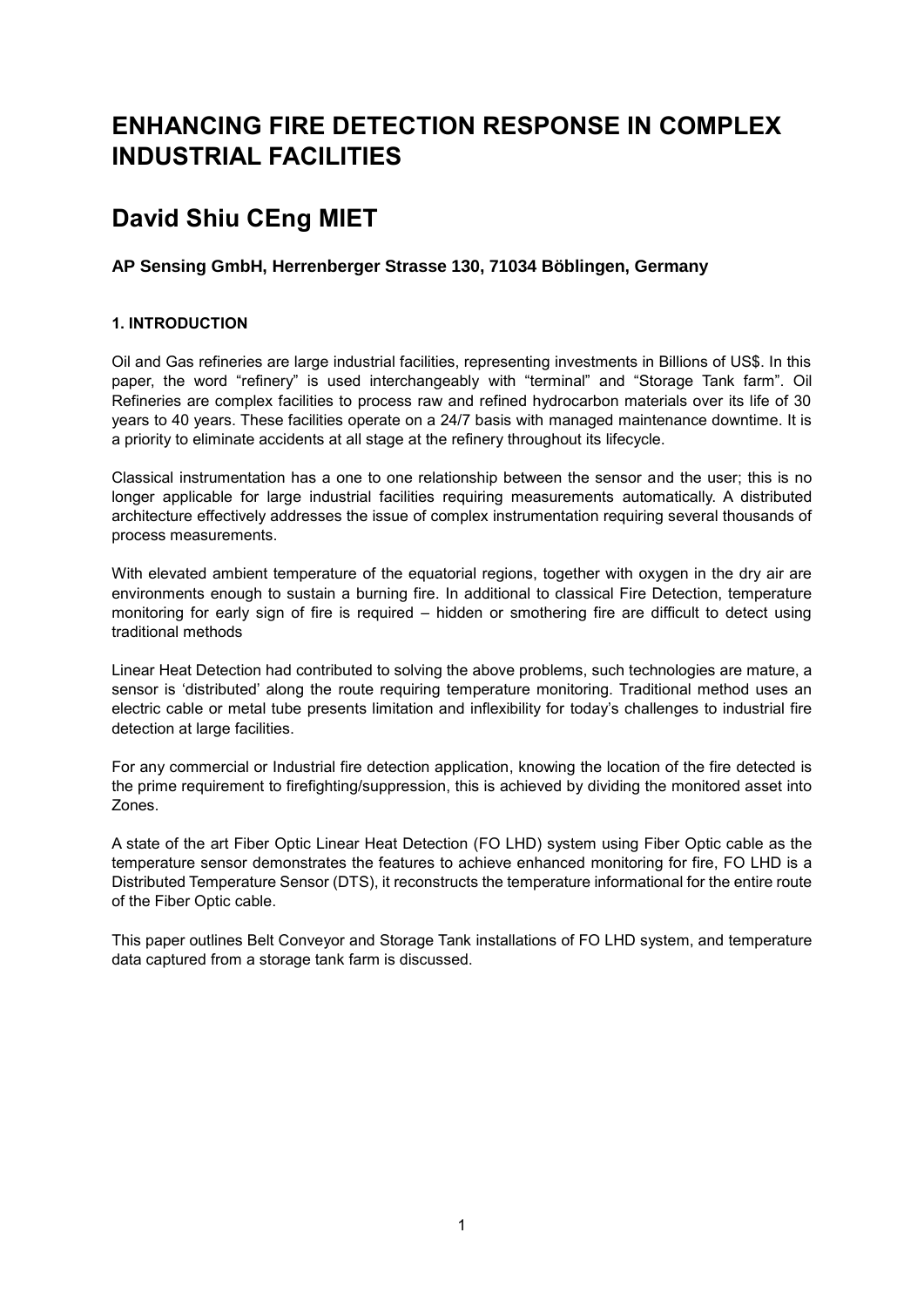## **ENHANCING FIRE DETECTION RESPONSE IN COMPLEX INDUSTRIAL FACILITIES**

# **David Shiu CEng MIET**

### **AP Sensing GmbH, Herrenberger Strasse 130, 71034 Böblingen, Germany**

### **1. INTRODUCTION**

Oil and Gas refineries are large industrial facilities, representing investments in Billions of US\$. In this paper, the word "refinery" is used interchangeably with "terminal" and "Storage Tank farm". Oil Refineries are complex facilities to process raw and refined hydrocarbon materials over its life of 30 years to 40 years. These facilities operate on a 24/7 basis with managed maintenance downtime. It is a priority to eliminate accidents at all stage at the refinery throughout its lifecycle.

Classical instrumentation has a one to one relationship between the sensor and the user; this is no longer applicable for large industrial facilities requiring measurements automatically. A distributed architecture effectively addresses the issue of complex instrumentation requiring several thousands of process measurements.

With elevated ambient temperature of the equatorial regions, together with oxygen in the dry air are environments enough to sustain a burning fire. In additional to classical Fire Detection, temperature monitoring for early sign of fire is required – hidden or smothering fire are difficult to detect using traditional methods

Linear Heat Detection had contributed to solving the above problems, such technologies are mature, a sensor is 'distributed' along the route requiring temperature monitoring. Traditional method uses an electric cable or metal tube presents limitation and inflexibility for today's challenges to industrial fire detection at large facilities.

For any commercial or Industrial fire detection application, knowing the location of the fire detected is the prime requirement to firefighting/suppression, this is achieved by dividing the monitored asset into Zones.

A state of the art Fiber Optic Linear Heat Detection (FO LHD) system using Fiber Optic cable as the temperature sensor demonstrates the features to achieve enhanced monitoring for fire, FO LHD is a Distributed Temperature Sensor (DTS), it reconstructs the temperature informational for the entire route of the Fiber Optic cable.

This paper outlines Belt Conveyor and Storage Tank installations of FO LHD system, and temperature data captured from a storage tank farm is discussed.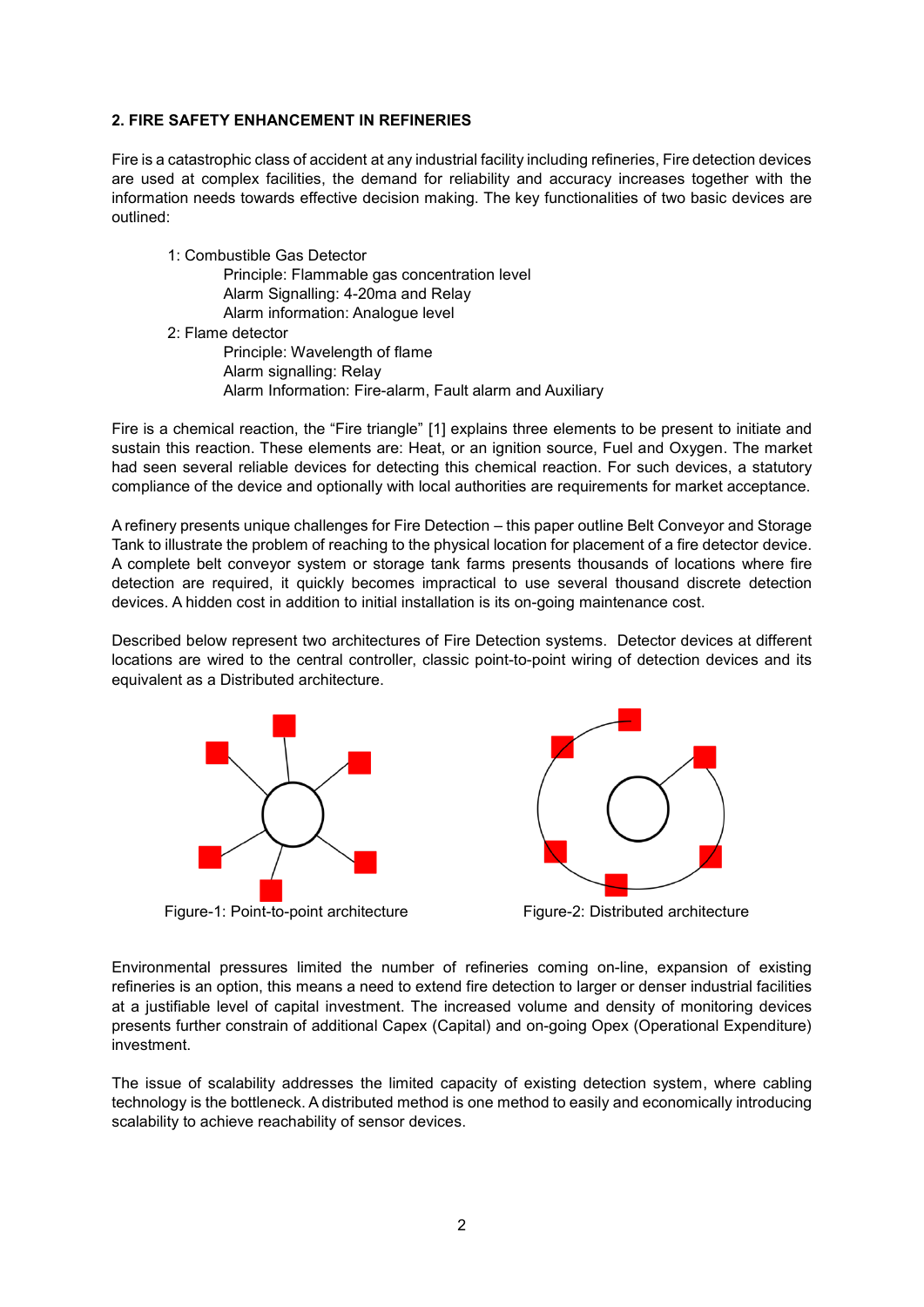#### **2. FIRE SAFETY ENHANCEMENT IN REFINERIES**

Fire is a catastrophic class of accident at any industrial facility including refineries, Fire detection devices are used at complex facilities, the demand for reliability and accuracy increases together with the information needs towards effective decision making. The key functionalities of two basic devices are outlined:

- 1: Combustible Gas Detector Principle: Flammable gas concentration level Alarm Signalling: 4-20ma and Relay Alarm information: Analogue level 2: Flame detector Principle: Wavelength of flame
	- Alarm signalling: Relay Alarm Information: Fire-alarm, Fault alarm and Auxiliary

Fire is a chemical reaction, the "Fire triangle" [1] explains three elements to be present to initiate and sustain this reaction. These elements are: Heat, or an ignition source, Fuel and Oxygen. The market had seen several reliable devices for detecting this chemical reaction. For such devices, a statutory compliance of the device and optionally with local authorities are requirements for market acceptance.

A refinery presents unique challenges for Fire Detection – this paper outline Belt Conveyor and Storage Tank to illustrate the problem of reaching to the physical location for placement of a fire detector device. A complete belt conveyor system or storage tank farms presents thousands of locations where fire detection are required, it quickly becomes impractical to use several thousand discrete detection devices. A hidden cost in addition to initial installation is its on-going maintenance cost.

Described below represent two architectures of Fire Detection systems. Detector devices at different locations are wired to the central controller, classic point-to-point wiring of detection devices and its equivalent as a Distributed architecture.



Figure-1: Point-to-point architecture Figure-2: Distributed architecture



Environmental pressures limited the number of refineries coming on-line, expansion of existing refineries is an option, this means a need to extend fire detection to larger or denser industrial facilities at a justifiable level of capital investment. The increased volume and density of monitoring devices presents further constrain of additional Capex (Capital) and on-going Opex (Operational Expenditure) investment.

The issue of scalability addresses the limited capacity of existing detection system, where cabling technology is the bottleneck. A distributed method is one method to easily and economically introducing scalability to achieve reachability of sensor devices.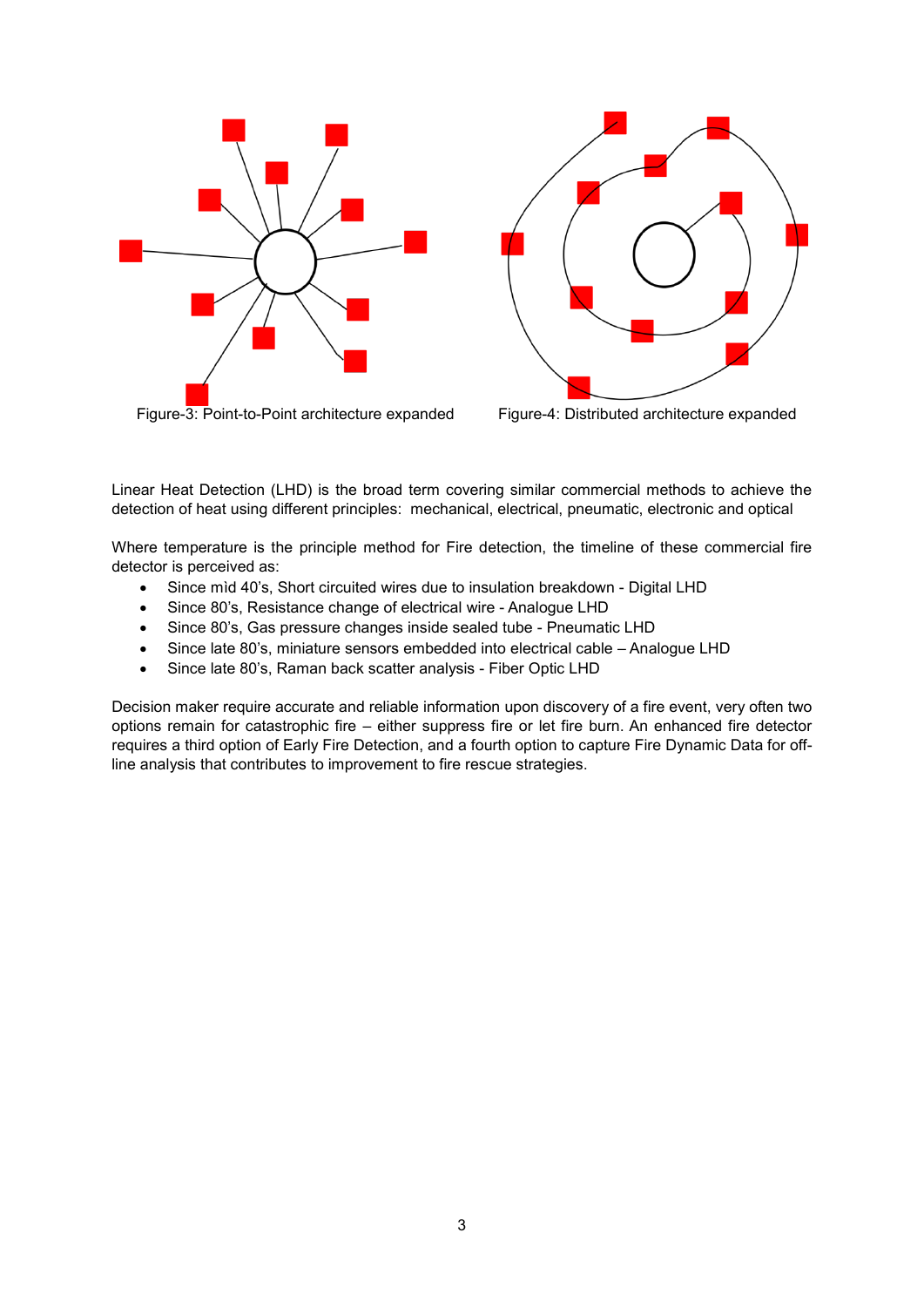



Linear Heat Detection (LHD) is the broad term covering similar commercial methods to achieve the detection of heat using different principles: mechanical, electrical, pneumatic, electronic and optical

Where temperature is the principle method for Fire detection, the timeline of these commercial fire detector is perceived as:

- Since mìd 40's, Short circuited wires due to insulation breakdown Digital LHD
- Since 80's, Resistance change of electrical wire Analogue LHD
- Since 80's, Gas pressure changes inside sealed tube Pneumatic LHD
- Since late 80's, miniature sensors embedded into electrical cable Analogue LHD
- Since late 80's, Raman back scatter analysis Fiber Optic LHD

Decision maker require accurate and reliable information upon discovery of a fire event, very often two options remain for catastrophic fire – either suppress fire or let fire burn. An enhanced fire detector requires a third option of Early Fire Detection, and a fourth option to capture Fire Dynamic Data for offline analysis that contributes to improvement to fire rescue strategies.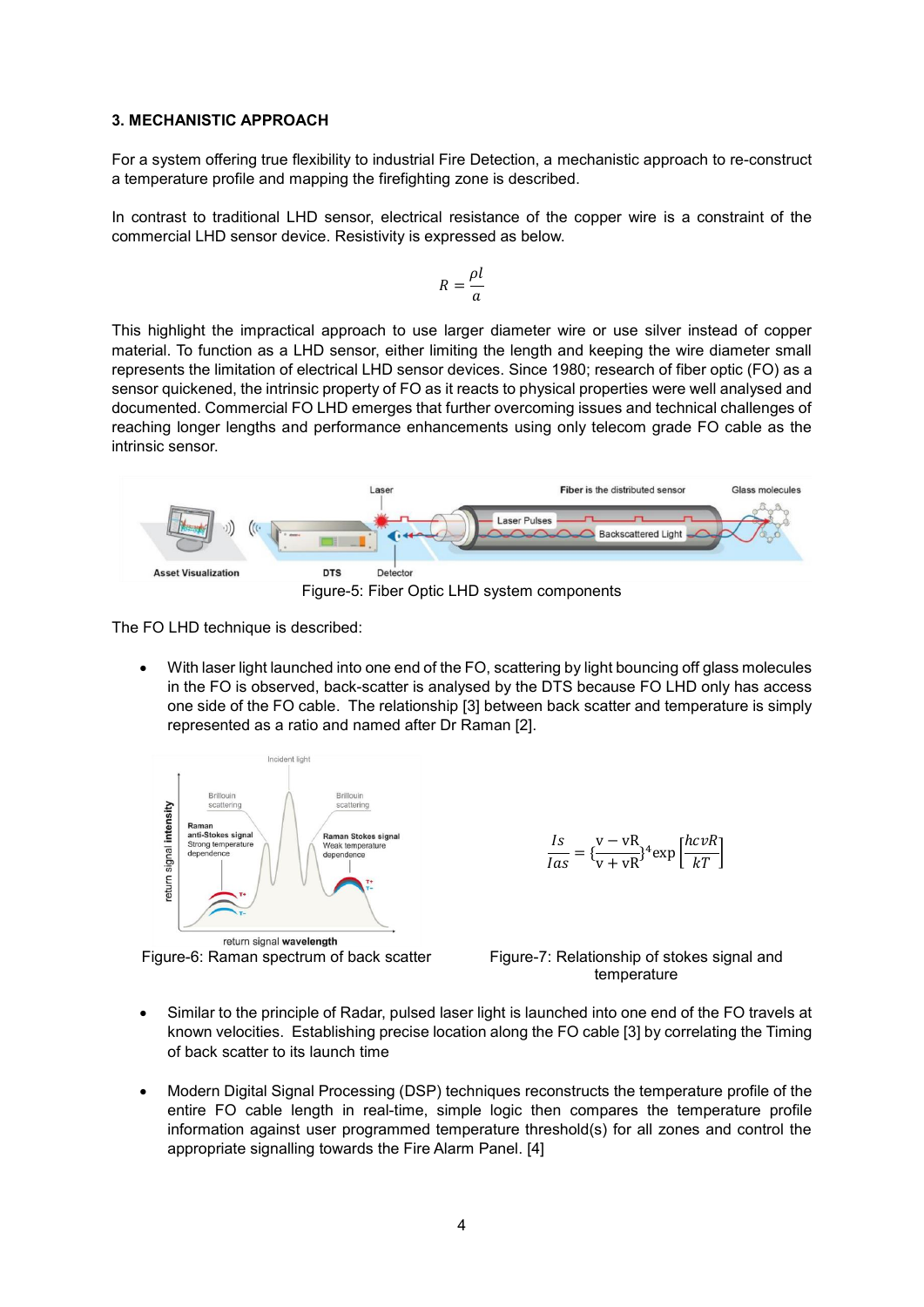#### **3. MECHANISTIC APPROACH**

For a system offering true flexibility to industrial Fire Detection, a mechanistic approach to re-construct a temperature profile and mapping the firefighting zone is described.

In contrast to traditional LHD sensor, electrical resistance of the copper wire is a constraint of the commercial LHD sensor device. Resistivity is expressed as below.

$$
R = \frac{\rho l}{a}
$$

This highlight the impractical approach to use larger diameter wire or use silver instead of copper material. To function as a LHD sensor, either limiting the length and keeping the wire diameter small represents the limitation of electrical LHD sensor devices. Since 1980; research of fiber optic (FO) as a sensor quickened, the intrinsic property of FO as it reacts to physical properties were well analysed and documented. Commercial FO LHD emerges that further overcoming issues and technical challenges of reaching longer lengths and performance enhancements using only telecom grade FO cable as the intrinsic sensor.



The FO LHD technique is described:

 With laser light launched into one end of the FO, scattering by light bouncing off glass molecules in the FO is observed, back-scatter is analysed by the DTS because FO LHD only has access one side of the FO cable. The relationship [3] between back scatter and temperature is simply represented as a ratio and named after Dr Raman [2].



return signal wavelength

 $rac{Is}{Ias} = {\frac{v - vR}{v + vR}}^4 \exp{\left[\frac{hc vR}{kT}\right]}$ 

Figure-6: Raman spectrum of back scatter Figure-7: Relationship of stokes signal and temperature

- Similar to the principle of Radar, pulsed laser light is launched into one end of the FO travels at known velocities. Establishing precise location along the FO cable [3] by correlating the Timing of back scatter to its launch time
- Modern Digital Signal Processing (DSP) techniques reconstructs the temperature profile of the entire FO cable length in real-time, simple logic then compares the temperature profile information against user programmed temperature threshold(s) for all zones and control the appropriate signalling towards the Fire Alarm Panel. [4]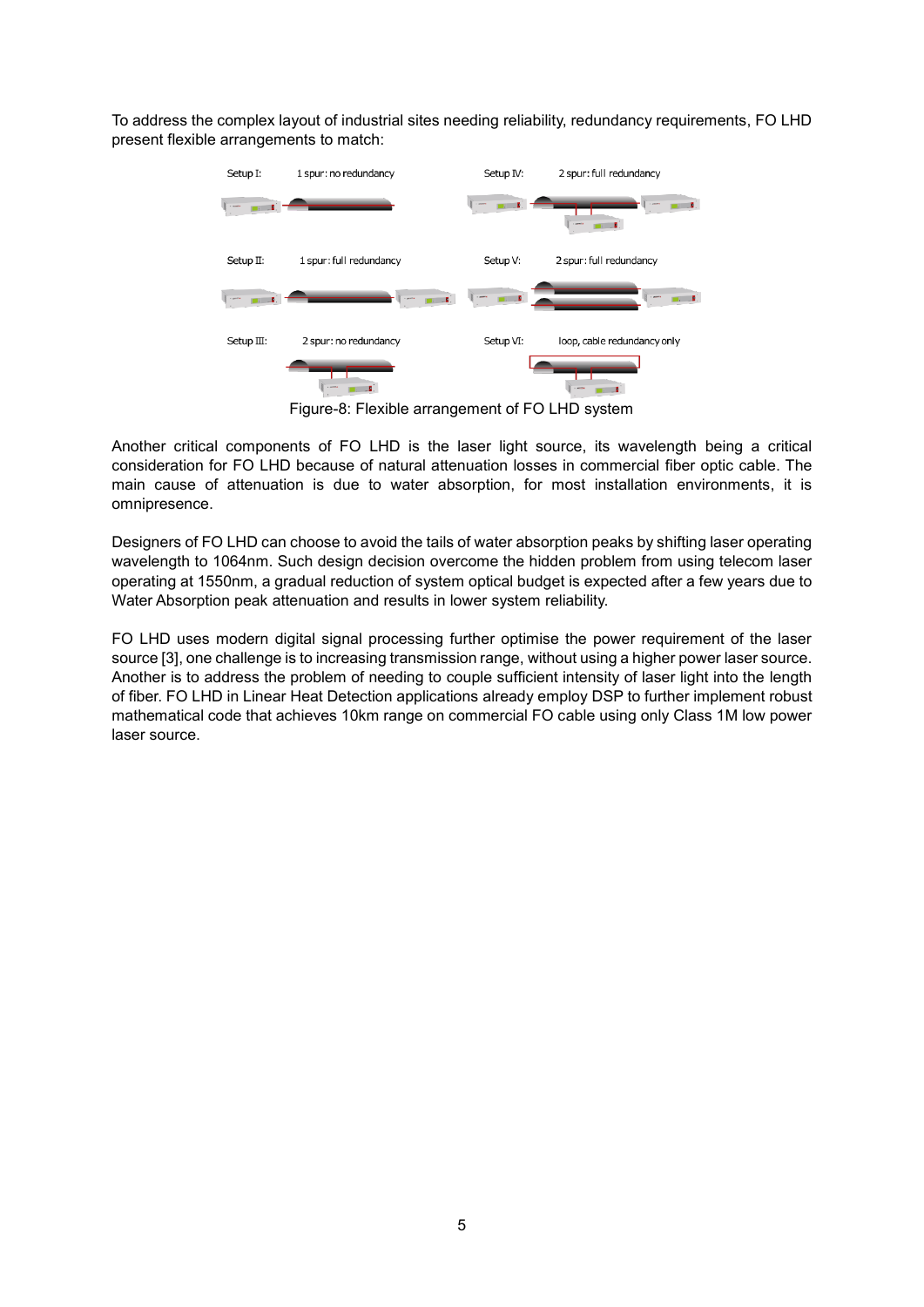To address the complex layout of industrial sites needing reliability, redundancy requirements, FO LHD present flexible arrangements to match:



Figure-8: Flexible arrangement of FO LHD system

Another critical components of FO LHD is the laser light source, its wavelength being a critical consideration for FO LHD because of natural attenuation losses in commercial fiber optic cable. The main cause of attenuation is due to water absorption, for most installation environments, it is omnipresence.

Designers of FO LHD can choose to avoid the tails of water absorption peaks by shifting laser operating wavelength to 1064nm. Such design decision overcome the hidden problem from using telecom laser operating at 1550nm, a gradual reduction of system optical budget is expected after a few years due to Water Absorption peak attenuation and results in lower system reliability.

FO LHD uses modern digital signal processing further optimise the power requirement of the laser source [3], one challenge is to increasing transmission range, without using a higher power laser source. Another is to address the problem of needing to couple sufficient intensity of laser light into the length of fiber. FO LHD in Linear Heat Detection applications already employ DSP to further implement robust mathematical code that achieves 10km range on commercial FO cable using only Class 1M low power laser source.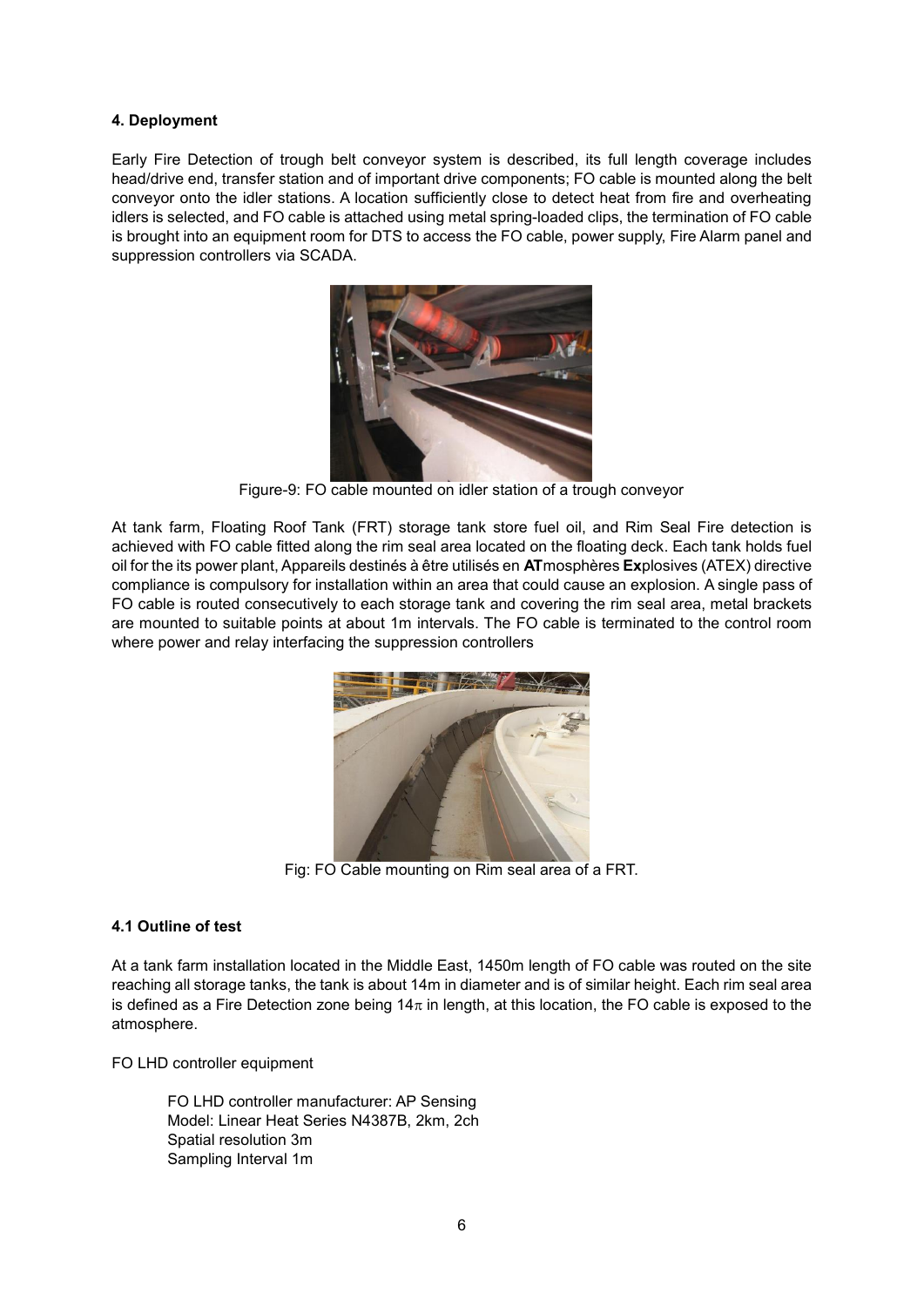#### **4. Deployment**

Early Fire Detection of trough belt conveyor system is described, its full length coverage includes head/drive end, transfer station and of important drive components; FO cable is mounted along the belt conveyor onto the idler stations. A location sufficiently close to detect heat from fire and overheating idlers is selected, and FO cable is attached using metal spring-loaded clips, the termination of FO cable is brought into an equipment room for DTS to access the FO cable, power supply, Fire Alarm panel and suppression controllers via SCADA.



Figure-9: FO cable mounted on idler station of a trough conveyor

At tank farm, Floating Roof Tank (FRT) storage tank store fuel oil, and Rim Seal Fire detection is achieved with FO cable fitted along the rim seal area located on the floating deck. Each tank holds fuel oil for the its power plant, Appareils destinés à être utilisés en **AT**mosphères **Ex**plosives (ATEX) directive compliance is compulsory for installation within an area that could cause an explosion. A single pass of FO cable is routed consecutively to each storage tank and covering the rim seal area, metal brackets are mounted to suitable points at about 1m intervals. The FO cable is terminated to the control room where power and relay interfacing the suppression controllers



Fig: FO Cable mounting on Rim seal area of a FRT.

#### **4.1 Outline of test**

At a tank farm installation located in the Middle East, 1450m length of FO cable was routed on the site reaching all storage tanks, the tank is about 14m in diameter and is of similar height. Each rim seal area is defined as a Fire Detection zone being  $14\pi$  in length, at this location, the FO cable is exposed to the atmosphere.

FO LHD controller equipment

FO LHD controller manufacturer: AP Sensing Model: Linear Heat Series N4387B, 2km, 2ch Spatial resolution 3m Sampling Interval 1m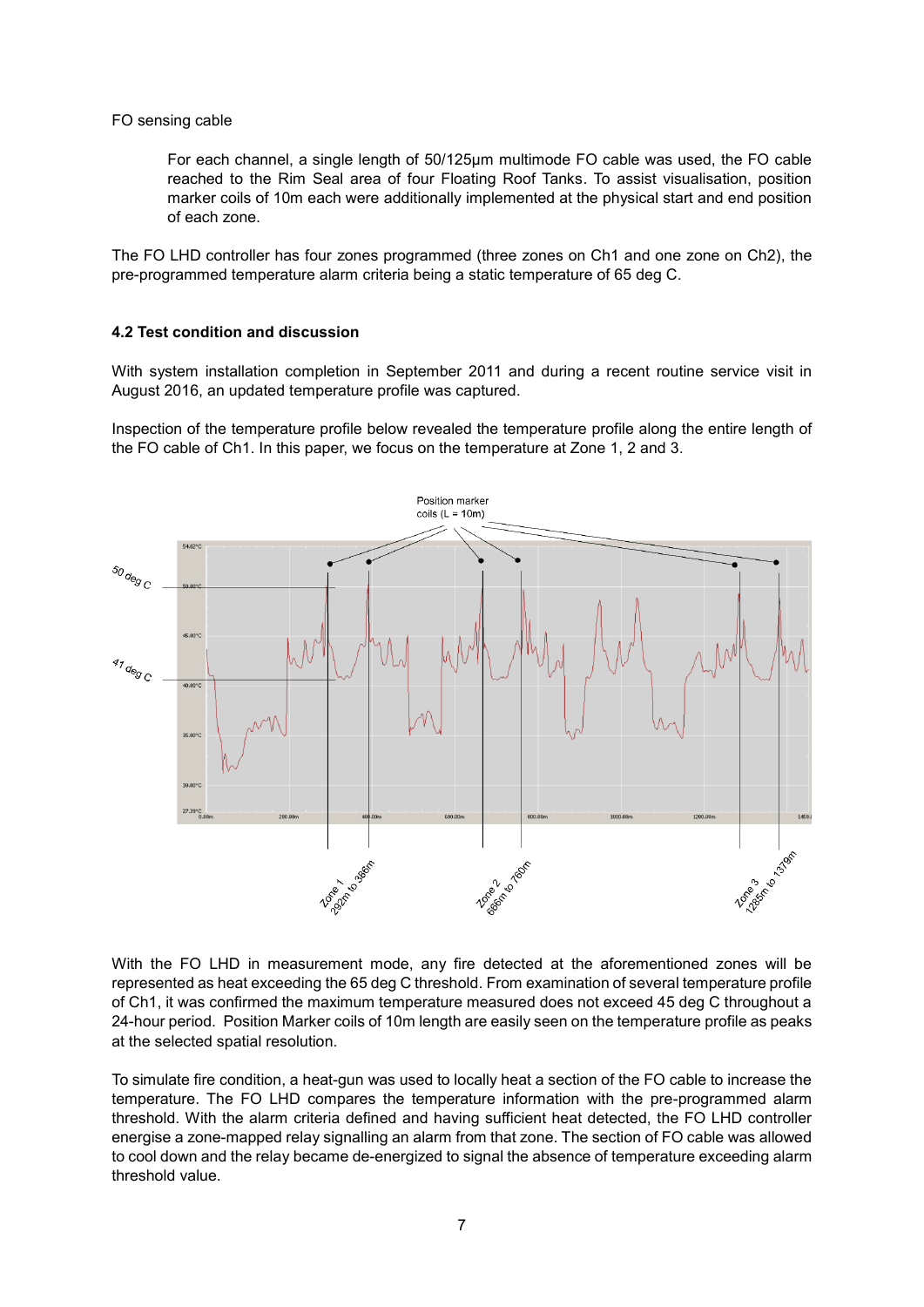#### FO sensing cable

For each channel, a single length of 50/125µm multimode FO cable was used, the FO cable reached to the Rim Seal area of four Floating Roof Tanks. To assist visualisation, position marker coils of 10m each were additionally implemented at the physical start and end position of each zone.

The FO LHD controller has four zones programmed (three zones on Ch1 and one zone on Ch2), the pre-programmed temperature alarm criteria being a static temperature of 65 deg C.

#### **4.2 Test condition and discussion**

With system installation completion in September 2011 and during a recent routine service visit in August 2016, an updated temperature profile was captured.

Inspection of the temperature profile below revealed the temperature profile along the entire length of the FO cable of Ch1. In this paper, we focus on the temperature at Zone 1, 2 and 3.



With the FO LHD in measurement mode, any fire detected at the aforementioned zones will be represented as heat exceeding the 65 deg C threshold. From examination of several temperature profile of Ch1, it was confirmed the maximum temperature measured does not exceed 45 deg C throughout a 24-hour period. Position Marker coils of 10m length are easily seen on the temperature profile as peaks at the selected spatial resolution.

To simulate fire condition, a heat-gun was used to locally heat a section of the FO cable to increase the temperature. The FO LHD compares the temperature information with the pre-programmed alarm threshold. With the alarm criteria defined and having sufficient heat detected, the FO LHD controller energise a zone-mapped relay signalling an alarm from that zone. The section of FO cable was allowed to cool down and the relay became de-energized to signal the absence of temperature exceeding alarm threshold value.